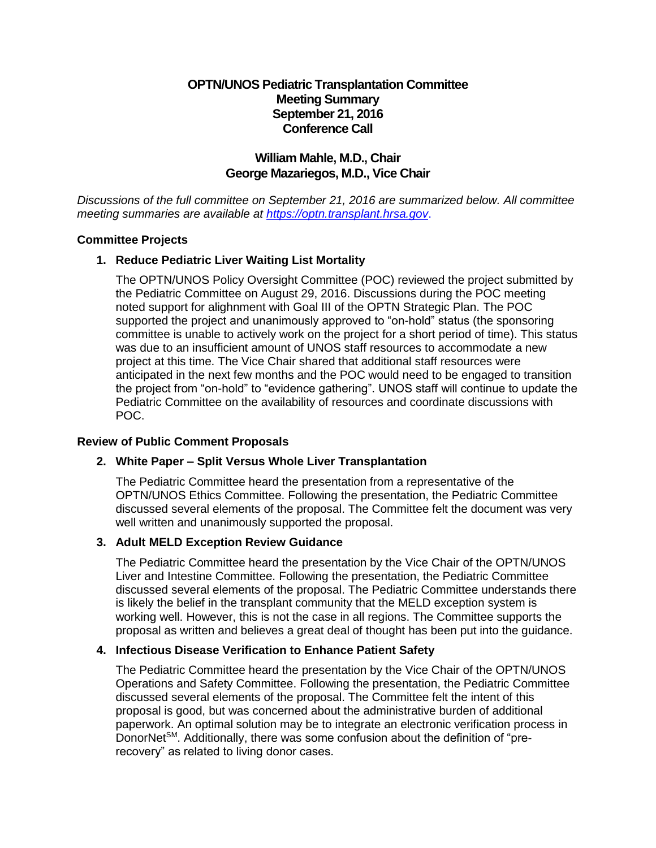# **OPTN/UNOS Pediatric Transplantation Committee Meeting Summary September 21, 2016 Conference Call**

# **William Mahle, M.D., Chair George Mazariegos, M.D., Vice Chair**

*Discussions of the full committee on September 21, 2016 are summarized below. All committee meeting summaries are available at [https://optn.transplant.hrsa.gov](https://optn.transplant.hrsa.gov/)*.

#### **Committee Projects**

## **1. Reduce Pediatric Liver Waiting List Mortality**

The OPTN/UNOS Policy Oversight Committee (POC) reviewed the project submitted by the Pediatric Committee on August 29, 2016. Discussions during the POC meeting noted support for alighnment with Goal III of the OPTN Strategic Plan. The POC supported the project and unanimously approved to "on-hold" status (the sponsoring committee is unable to actively work on the project for a short period of time). This status was due to an insufficient amount of UNOS staff resources to accommodate a new project at this time. The Vice Chair shared that additional staff resources were anticipated in the next few months and the POC would need to be engaged to transition the project from "on-hold" to "evidence gathering". UNOS staff will continue to update the Pediatric Committee on the availability of resources and coordinate discussions with POC.

#### **Review of Public Comment Proposals**

#### **2. White Paper – Split Versus Whole Liver Transplantation**

The Pediatric Committee heard the presentation from a representative of the OPTN/UNOS Ethics Committee. Following the presentation, the Pediatric Committee discussed several elements of the proposal. The Committee felt the document was very well written and unanimously supported the proposal.

#### **3. Adult MELD Exception Review Guidance**

The Pediatric Committee heard the presentation by the Vice Chair of the OPTN/UNOS Liver and Intestine Committee. Following the presentation, the Pediatric Committee discussed several elements of the proposal. The Pediatric Committee understands there is likely the belief in the transplant community that the MELD exception system is working well. However, this is not the case in all regions. The Committee supports the proposal as written and believes a great deal of thought has been put into the guidance.

#### **4. Infectious Disease Verification to Enhance Patient Safety**

The Pediatric Committee heard the presentation by the Vice Chair of the OPTN/UNOS Operations and Safety Committee. Following the presentation, the Pediatric Committee discussed several elements of the proposal. The Committee felt the intent of this proposal is good, but was concerned about the administrative burden of additional paperwork. An optimal solution may be to integrate an electronic verification process in Donor $Net<sup>SM</sup>$ . Additionally, there was some confusion about the definition of "prerecovery" as related to living donor cases.